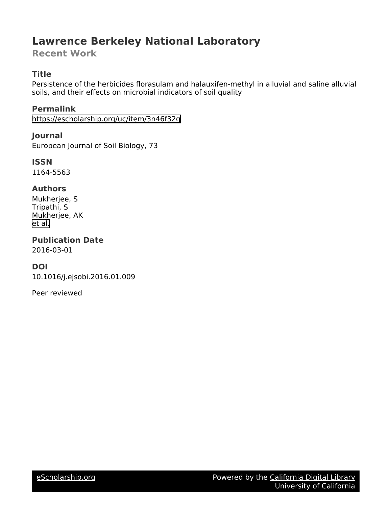# **Lawrence Berkeley National Laboratory**

**Recent Work**

# **Title**

Persistence of the herbicides florasulam and halauxifen-methyl in alluvial and saline alluvial soils, and their effects on microbial indicators of soil quality

**Permalink** <https://escholarship.org/uc/item/3n46f32g>

**Journal** European Journal of Soil Biology, 73

**ISSN** 1164-5563

# **Authors**

Mukherjee, S Tripathi, S Mukherjee, AK [et al.](https://escholarship.org/uc/item/3n46f32g#author)

**Publication Date** 2016-03-01

# **DOI**

10.1016/j.ejsobi.2016.01.009

Peer reviewed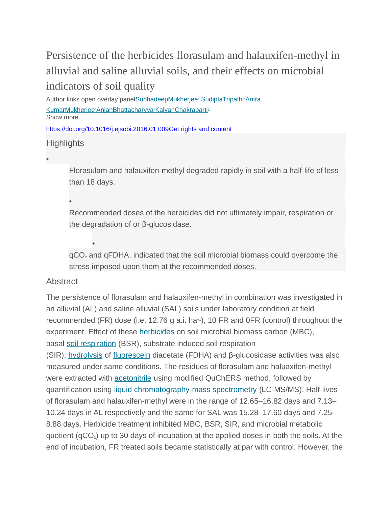# Persistence of the herbicides florasulam and halauxifen-methyl in alluvial and saline alluvial soils, and their effects on microbial indicators of soil quality

Author links open overlay panel<u>SubhadeepMukherjee<sup>a</sup>[SudiptaTripathi](https://www.sciencedirect.com/science/article/pii/S1164556316300097?via%3Dihub#!)ªAritra</u> <u>KumarMukherjeeªAnjanBhattacharyyaªKalyanChakrabarti</u>ª Show more

<https://doi.org/10.1016/j.ejsobi.2016.01.009>[Get rights and content](https://s100.copyright.com/AppDispatchServlet?publisherName=ELS&contentID=S1164556316300097&orderBeanReset=true)

# **Highlights**

•

Florasulam and halauxifen-methyl degraded rapidly in soil with a half-life of less than 18 days.

•

•

Recommended doses of the herbicides did not ultimately impair, respiration or the degradation of or β-glucosidase.

qCO<sup>2</sup> and qFDHA, indicated that the soil microbial biomass could overcome the stress imposed upon them at the recommended doses.

# Abstract

The persistence of florasulam and halauxifen-methyl in combination was investigated in an alluvial (AL) and saline alluvial (SAL) soils under laboratory condition at field recommended (FR) dose (i.e. 12.76 g a.i. ha−1), 10 FR and 0FR (control) throughout the experiment. Effect of these [herbicides](https://www.sciencedirect.com/topics/earth-and-planetary-sciences/herbicides) on soil microbial biomass carbon (MBC), basal [soil respiration](https://www.sciencedirect.com/topics/earth-and-planetary-sciences/soil-respiration) (BSR), substrate induced soil respiration (SIR), [hydrolysis](https://www.sciencedirect.com/topics/earth-and-planetary-sciences/hydrolysis) of [fluorescein](https://www.sciencedirect.com/topics/agricultural-and-biological-sciences/fluorescein) diacetate (FDHA) and β-glucosidase activities was also measured under same conditions. The residues of florasulam and haluaxifen-methyl were extracted with [acetonitrile](https://www.sciencedirect.com/topics/earth-and-planetary-sciences/acetonitrile) using modified QuChERS method, followed by quantification using [liquid chromatography-mass spectrometry](https://www.sciencedirect.com/topics/agricultural-and-biological-sciences/liquid-chromatography-mass-spectrometry) (LC-MS/MS). Half-lives of florasulam and halauxifen-methyl were in the range of 12.65–16.82 days and 7.13– 10.24 days in AL respectively and the same for SAL was 15.28–17.60 days and 7.25– 8.88 days. Herbicide treatment inhibited MBC, BSR, SIR, and microbial metabolic quotient ( $qCO<sub>2</sub>$ ) up to 30 days of incubation at the applied doses in both the soils. At the end of incubation, FR treated soils became statistically at par with control. However, the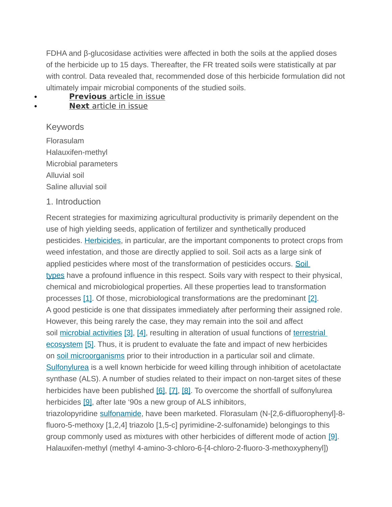FDHA and β-glucosidase activities were affected in both the soils at the applied doses of the herbicide up to 15 days. Thereafter, the FR treated soils were statistically at par with control. Data revealed that, recommended dose of this herbicide formulation did not ultimately impair microbial components of the studied soils.

#### **[Previous](https://www.sciencedirect.com/science/article/pii/S1164556316300085)** article in issue **Next** [article in](https://www.sciencedirect.com/science/article/pii/S1164556316300115) issue

Keywords Florasulam Halauxifen-methyl Microbial parameters Alluvial soil Saline alluvial soil

# 1. Introduction

Recent strategies for maximizing agricultural productivity is primarily dependent on the use of high yielding seeds, application of fertilizer and synthetically produced pesticides. [Herbicides,](https://www.sciencedirect.com/topics/earth-and-planetary-sciences/herbicides) in particular, are the important components to protect crops from weed infestation, and those are directly applied to soil. Soil acts as a large sink of applied pesticides where most of the transformation of pesticides occurs. Soil [types](https://www.sciencedirect.com/topics/earth-and-planetary-sciences/soil-type) have a profound influence in this respect. Soils vary with respect to their physical, chemical and microbiological properties. All these properties lead to transformation processes [\[1\].](https://www.sciencedirect.com/science/article/pii/S1164556316300097?via%3Dihub#bib1) Of those, microbiological transformations are the predominant [\[2\].](https://www.sciencedirect.com/science/article/pii/S1164556316300097?via%3Dihub#bib2) A good pesticide is one that dissipates immediately after performing their assigned role. However, this being rarely the case, they may remain into the soil and affect soil [microbial activities](https://www.sciencedirect.com/topics/earth-and-planetary-sciences/microbial-activity) [\[3\],](https://www.sciencedirect.com/science/article/pii/S1164556316300097?via%3Dihub#bib3) [\[4\],](https://www.sciencedirect.com/science/article/pii/S1164556316300097?via%3Dihub#bib4) resulting in alteration of usual functions of terrestrial [ecosystem](https://www.sciencedirect.com/topics/earth-and-planetary-sciences/terrestrial-ecosystem) [\[5\].](https://www.sciencedirect.com/science/article/pii/S1164556316300097?via%3Dihub#bib5) Thus, it is prudent to evaluate the fate and impact of new herbicides on [soil microorganisms](https://www.sciencedirect.com/topics/earth-and-planetary-sciences/soil-microorganisms) prior to their introduction in a particular soil and climate. [Sulfonylurea](https://www.sciencedirect.com/topics/agricultural-and-biological-sciences/sulfonylurea) is a well known herbicide for weed killing through inhibition of acetolactate synthase (ALS). A number of studies related to their impact on non-target sites of these herbicides have been published [\[6\],](https://www.sciencedirect.com/science/article/pii/S1164556316300097?via%3Dihub#bib6) [\[7\],](https://www.sciencedirect.com/science/article/pii/S1164556316300097?via%3Dihub#bib7) [\[8\].](https://www.sciencedirect.com/science/article/pii/S1164556316300097?via%3Dihub#bib8) To overcome the shortfall of sulfonylurea herbicides [\[9\],](https://www.sciencedirect.com/science/article/pii/S1164556316300097?via%3Dihub#bib9) after late '90s a new group of ALS inhibitors,

triazolopyridine [sulfonamide,](https://www.sciencedirect.com/topics/agricultural-and-biological-sciences/sulfonamide) have been marketed. Florasulam (N-[2,6-difluorophenyl]-8 fluoro-5-methoxy [1,2,4] triazolo [1,5-c] pyrimidine-2-sulfonamide) belongings to this group commonly used as mixtures with other herbicides of different mode of action [\[9\].](https://www.sciencedirect.com/science/article/pii/S1164556316300097?via%3Dihub#bib9) Halauxifen-methyl (methyl 4-amino-3-chloro-6-[4-chloro-2-fluoro-3-methoxyphenyl])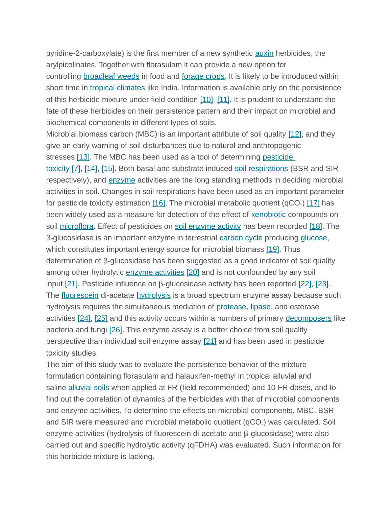pyridine-2-carboxylate) is the first member of a new synthetic [auxin](https://www.sciencedirect.com/topics/earth-and-planetary-sciences/auxins) herbicides, the arylpicolinates. Together with florasulam it can provide a new option for controlling **[broadleaf weeds](https://www.sciencedirect.com/topics/agricultural-and-biological-sciences/broadleaf-weeds)** in food and **forage crops**. It is likely to be introduced within short time in [tropical climates](https://www.sciencedirect.com/topics/earth-and-planetary-sciences/tropical-climate) like India. Information is available only on the persistence of this herbicide mixture under field condition [\[10\],](https://www.sciencedirect.com/science/article/pii/S1164556316300097?via%3Dihub#bib10) [\[11\].](https://www.sciencedirect.com/science/article/pii/S1164556316300097?via%3Dihub#bib11) It is prudent to understand the fate of these herbicides on their persistence pattern and their impact on microbial and biochemical components in different types of soils.

Microbial biomass carbon (MBC) is an important attribute of soil quality [\[12\],](https://www.sciencedirect.com/science/article/pii/S1164556316300097?via%3Dihub#bib12) and they give an early warning of soil disturbances due to natural and anthropogenic stresses [\[13\].](https://www.sciencedirect.com/science/article/pii/S1164556316300097?via%3Dihub#bib13) The MBC has been used as a tool of determining pesticide

[toxicity](https://www.sciencedirect.com/topics/agricultural-and-biological-sciences/toxicity-class) [\[7\],](https://www.sciencedirect.com/science/article/pii/S1164556316300097?via%3Dihub#bib7) [\[14\],](https://www.sciencedirect.com/science/article/pii/S1164556316300097?via%3Dihub#bib14) [\[15\].](https://www.sciencedirect.com/science/article/pii/S1164556316300097?via%3Dihub#bib15) Both basal and substrate induced [soil respirations](https://www.sciencedirect.com/topics/earth-and-planetary-sciences/soil-respiration) (BSR and SIR respectively), and [enzyme](https://www.sciencedirect.com/topics/earth-and-planetary-sciences/enzyme) activities are the long standing methods in deciding microbial activities in soil. Changes in soil respirations have been used as an important parameter for pesticide toxicity estimation  $[16]$ . The microbial metabolic quotient (qCO<sub>2</sub>)  $[17]$  has been widely used as a measure for detection of the effect of **[xenobiotic](https://www.sciencedirect.com/topics/earth-and-planetary-sciences/xenobiotics)** compounds on soil [microflora.](https://www.sciencedirect.com/topics/earth-and-planetary-sciences/microflora) Effect of pesticides on [soil enzyme activity](https://www.sciencedirect.com/topics/agricultural-and-biological-sciences/soil-enzyme-activity) has been recorded [\[18\].](https://www.sciencedirect.com/science/article/pii/S1164556316300097?via%3Dihub#bib18) The β-glucosidase is an important enzyme in terrestrial [carbon cycle](https://www.sciencedirect.com/topics/earth-and-planetary-sciences/carbon-cycle) producing [glucose,](https://www.sciencedirect.com/topics/earth-and-planetary-sciences/glucose) which constitutes important energy source for microbial biomass [\[19\].](https://www.sciencedirect.com/science/article/pii/S1164556316300097?via%3Dihub#bib19) Thus determination of β-glucosidase has been suggested as a good indicator of soil quality among other hydrolytic [enzyme activities](https://www.sciencedirect.com/topics/agricultural-and-biological-sciences/enzyme-assay) [\[20\]](https://www.sciencedirect.com/science/article/pii/S1164556316300097?via%3Dihub#bib20) and is not confounded by any soil input  $[21]$ . Pesticide influence on β-glucosidase activity has been reported  $[22]$ ,  $[23]$ . The [fluorescein](https://www.sciencedirect.com/topics/agricultural-and-biological-sciences/fluorescein) di-acetate [hydrolysis](https://www.sciencedirect.com/topics/earth-and-planetary-sciences/hydrolysis) is a broad spectrum enzyme assay because such hydrolysis requires the simultaneous mediation of [protease,](https://www.sciencedirect.com/topics/earth-and-planetary-sciences/protease) [lipase,](https://www.sciencedirect.com/topics/agricultural-and-biological-sciences/lipase) and esterase activities [\[24\],](https://www.sciencedirect.com/science/article/pii/S1164556316300097?via%3Dihub#bib24) [\[25\]](https://www.sciencedirect.com/science/article/pii/S1164556316300097?via%3Dihub#bib25) and this activity occurs within a numbers of primary [decomposers](https://www.sciencedirect.com/topics/earth-and-planetary-sciences/decomposers) like bacteria and fungi [\[26\].](https://www.sciencedirect.com/science/article/pii/S1164556316300097?via%3Dihub#bib26) This enzyme assay is a better choice from soil quality perspective than individual soil enzyme assay [\[21\]](https://www.sciencedirect.com/science/article/pii/S1164556316300097?via%3Dihub#bib21) and has been used in pesticide toxicity studies.

The aim of this study was to evaluate the persistence behavior of the mixture formulation containing florasulam and halauxifen-methyl in tropical alluvial and saline [alluvial soils](https://www.sciencedirect.com/topics/earth-and-planetary-sciences/alluvial-soil) when applied at FR (field recommended) and 10 FR doses, and to find out the correlation of dynamics of the herbicides with that of microbial components and enzyme activities. To determine the effects on microbial components, MBC, BSR and SIR were measured and microbial metabolic quotient ( $qCO<sub>2</sub>$ ) was calculated. Soil enzyme activities (hydrolysis of fluorescein di-acetate and β-glucosidase) were also carried out and specific hydrolytic activity (qFDHA) was evaluated. Such information for this herbicide mixture is lacking.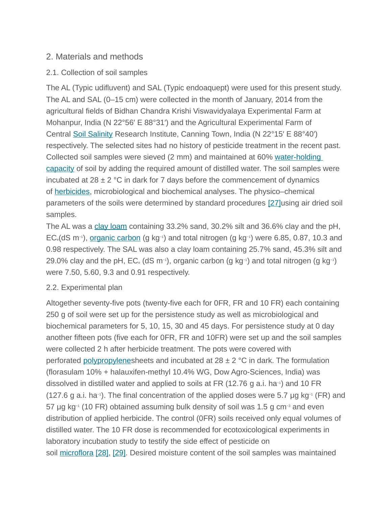# 2. Materials and methods

# 2.1. Collection of soil samples

The AL (Typic udifluvent) and SAL (Typic endoaquept) were used for this present study. The AL and SAL (0–15 cm) were collected in the month of January, 2014 from the agricultural fields of Bidhan Chandra Krishi Viswavidyalaya Experimental Farm at Mohanpur, India (N 22°56′ E 88°31′) and the Agricultural Experimental Farm of Central [Soil Salinity](https://www.sciencedirect.com/topics/earth-and-planetary-sciences/soil-salinity) Research Institute, Canning Town, India (N 22°15′ E 88°40′) respectively. The selected sites had no history of pesticide treatment in the recent past. Collected soil samples were sieved (2 mm) and maintained at 60% [water-holding](https://www.sciencedirect.com/topics/agricultural-and-biological-sciences/field-capacity)  [capacity](https://www.sciencedirect.com/topics/agricultural-and-biological-sciences/field-capacity) of soil by adding the required amount of distilled water. The soil samples were incubated at  $28 \pm 2$  °C in dark for 7 days before the commencement of dynamics of [herbicides,](https://www.sciencedirect.com/topics/earth-and-planetary-sciences/herbicides) microbiological and biochemical analyses. The physico–chemical parameters of the soils were determined by standard procedures [\[27\]u](https://www.sciencedirect.com/science/article/pii/S1164556316300097?via%3Dihub#bib27)sing air dried soil samples.

The AL was a [clay loam](https://www.sciencedirect.com/topics/earth-and-planetary-sciences/clay-loam) containing 33.2% sand, 30.2% silt and 36.6% clay and the pH, EC<sub>e</sub>(dS m<sup>-1</sup>), <u>[organic carbon](https://www.sciencedirect.com/topics/earth-and-planetary-sciences/organic-carbon)</u> (g kg<sup>-1</sup>) and total nitrogen (g kg<sup>-1</sup>) were 6.85, 0.87, 10.3 and 0.98 respectively. The SAL was also a clay loam containing 25.7% sand, 45.3% silt and 29.0% clay and the pH, EC<sub>e</sub> (dS m<sup>-1</sup>), organic carbon (g kg<sup>-1</sup>) and total nitrogen (g kg<sup>-1</sup>) were 7.50, 5.60, 9.3 and 0.91 respectively.

# 2.2. Experimental plan

Altogether seventy-five pots (twenty-five each for 0FR, FR and 10 FR) each containing 250 g of soil were set up for the persistence study as well as microbiological and biochemical parameters for 5, 10, 15, 30 and 45 days. For persistence study at 0 day another fifteen pots (five each for 0FR, FR and 10FR) were set up and the soil samples were collected 2 h after herbicide treatment. The pots were covered with perforated [polypropylenes](https://www.sciencedirect.com/topics/earth-and-planetary-sciences/polypropylene)heets and incubated at  $28 \pm 2$  °C in dark. The formulation (florasulam 10% + halauxifen-methyl 10.4% WG, Dow Agro-Sciences, India) was dissolved in distilled water and applied to soils at FR (12.76 g a.i. ha−1) and 10 FR (127.6 g a.i. ha−1). The final concentration of the applied doses were 5.7 μg kg−1 (FR) and 57 μg kg−1 (10 FR) obtained assuming bulk density of soil was 1.5 g cm−3 and even distribution of applied herbicide. The control (0FR) soils received only equal volumes of distilled water. The 10 FR dose is recommended for ecotoxicological experiments in laboratory incubation study to testify the side effect of pesticide on soil [microflora](https://www.sciencedirect.com/topics/earth-and-planetary-sciences/microflora) [\[28\],](https://www.sciencedirect.com/science/article/pii/S1164556316300097?via%3Dihub#bib28) [\[29\].](https://www.sciencedirect.com/science/article/pii/S1164556316300097?via%3Dihub#bib29) Desired moisture content of the soil samples was maintained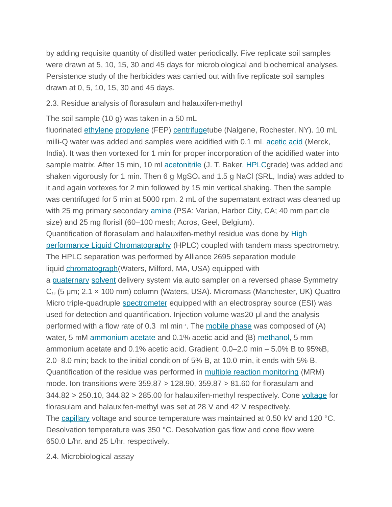by adding requisite quantity of distilled water periodically. Five replicate soil samples were drawn at 5, 10, 15, 30 and 45 days for microbiological and biochemical analyses. Persistence study of the herbicides was carried out with five replicate soil samples drawn at 0, 5, 10, 15, 30 and 45 days.

### 2.3. Residue analysis of florasulam and halauxifen-methyl

The soil sample (10 g) was taken in a 50 mL

fluorinated [ethylene](https://www.sciencedirect.com/topics/earth-and-planetary-sciences/ethylene) [propylene](https://www.sciencedirect.com/topics/earth-and-planetary-sciences/propylene) (FEP) [centrifuget](https://www.sciencedirect.com/topics/earth-and-planetary-sciences/centrifuges)ube (Nalgene, Rochester, NY). 10 mL milli-Q water was added and samples were acidified with 0.1 mL [acetic acid](https://www.sciencedirect.com/topics/earth-and-planetary-sciences/acetic-acid) (Merck, India). It was then vortexed for 1 min for proper incorporation of the acidified water into sample matrix. After 15 min, 10 ml [acetonitrile](https://www.sciencedirect.com/topics/earth-and-planetary-sciences/acetonitrile) (J. T. Baker, [HPLCg](https://www.sciencedirect.com/topics/agricultural-and-biological-sciences/high-performance-liquid-chromatography)rade) was added and shaken vigorously for 1 min. Then 6 g MgSO<sub>4</sub> and 1.5 g NaCl (SRL, India) was added to it and again vortexes for 2 min followed by 15 min vertical shaking. Then the sample was centrifuged for 5 min at 5000 rpm. 2 mL of the supernatant extract was cleaned up with 25 mg primary secondary **[amine](https://www.sciencedirect.com/topics/earth-and-planetary-sciences/amine)** (PSA: Varian, Harbor City, CA; 40 mm particle size) and 25 mg florisil (60–100 mesh; Acros, Geel, Belgium). Quantification of florasulam and halauxifen-methyl residue was done by [High](https://www.sciencedirect.com/topics/agricultural-and-biological-sciences/high-performance-liquid-chromatography)  [performance Liquid Chromatography](https://www.sciencedirect.com/topics/agricultural-and-biological-sciences/high-performance-liquid-chromatography) (HPLC) coupled with tandem mass spectrometry. The HPLC separation was performed by Alliance 2695 separation module liquid [chromatograph\(](https://www.sciencedirect.com/topics/agricultural-and-biological-sciences/chromatography)Waters, Milford, MA, USA) equipped with a [quaternary](https://www.sciencedirect.com/topics/earth-and-planetary-sciences/quaternary) [solvent](https://www.sciencedirect.com/topics/earth-and-planetary-sciences/solvent) delivery system via auto sampler on a reversed phase Symmetry  $C_{18}$  (5 µm; 2.1  $\times$  100 mm) column (Waters, USA). Micromass (Manchester, UK) Quattro Micro triple-quadruple [spectrometer](https://www.sciencedirect.com/topics/earth-and-planetary-sciences/spectrometers) equipped with an electrospray source (ESI) was used for detection and quantification. Injection volume was20 μl and the analysis performed with a flow rate of 0.3 ml min<sup>-1</sup>. The [mobile phase](https://www.sciencedirect.com/topics/agricultural-and-biological-sciences/elution) was composed of (A) water, 5 mM [ammonium](https://www.sciencedirect.com/topics/earth-and-planetary-sciences/ammonium) [acetate](https://www.sciencedirect.com/topics/earth-and-planetary-sciences/acetates) and 0.1% acetic acid and (B) [methanol,](https://www.sciencedirect.com/topics/earth-and-planetary-sciences/methyl-alcohol) 5 mm ammonium acetate and 0.1% acetic acid. Gradient: 0.0–2.0 min – 5.0% B to 95%B, 2.0–8.0 min; back to the initial condition of 5% B, at 10.0 min, it ends with 5% B. Quantification of the residue was performed in [multiple reaction monitoring](https://www.sciencedirect.com/topics/agricultural-and-biological-sciences/selected-reaction-monitoring) (MRM) mode. Ion transitions were 359.87 > 128.90, 359.87 > 81.60 for florasulam and  $344.82 > 250.10$ ,  $344.82 > 285.00$  for halauxifen-methyl respectively. Cone [voltage](https://www.sciencedirect.com/topics/earth-and-planetary-sciences/electric-potential) for florasulam and halauxifen-methyl was set at 28 V and 42 V respectively. The [capillary](https://www.sciencedirect.com/topics/agricultural-and-biological-sciences/capillary) voltage and source temperature was maintained at 0.50 kV and 120 °C. Desolvation temperature was 350 °C. Desolvation gas flow and cone flow were 650.0 L/hr. and 25 L/hr. respectively.

2.4. Microbiological assay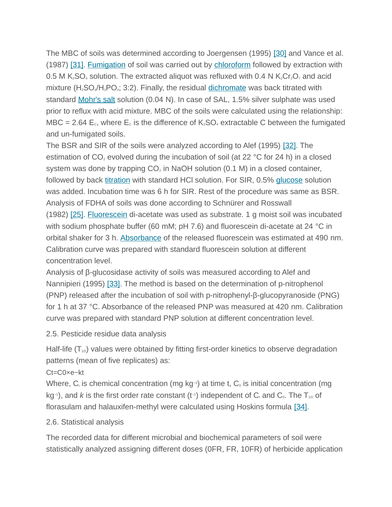The MBC of soils was determined according to Joergensen (1995) [\[30\]](https://www.sciencedirect.com/science/article/pii/S1164556316300097?via%3Dihub#bib30) and Vance et al. (1987) [\[31\].](https://www.sciencedirect.com/science/article/pii/S1164556316300097?via%3Dihub#bib31) [Fumigation](https://www.sciencedirect.com/topics/earth-and-planetary-sciences/fumigation) of soil was carried out by [chloroform](https://www.sciencedirect.com/topics/earth-and-planetary-sciences/chloroform) followed by extraction with 0.5 M K<sub>2</sub>SO<sub>4</sub> solution. The extracted aliquot was refluxed with 0.4 N K<sub>2</sub>Cr<sub>2</sub>O<sub>7</sub> and acid mixture ( $H_2$ SO<sub>4</sub>/H<sub>3</sub>PO<sub>4</sub>; 3:2). Finally, the residual [dichromate](https://www.sciencedirect.com/topics/earth-and-planetary-sciences/chromates) was back titrated with standard [Mohr's salt](https://www.sciencedirect.com/topics/agricultural-and-biological-sciences/ammonium-iron-ii-sulfate) solution (0.04 N). In case of SAL, 1.5% silver sulphate was used prior to reflux with acid mixture. MBC of the soils were calculated using the relationship: MBC = 2.64  $E_c$ , where  $E_c$  is the difference of  $K_2SO_4$  extractable C between the fumigated and un-fumigated soils.

The BSR and SIR of the soils were analyzed according to Alef (1995) [\[32\].](https://www.sciencedirect.com/science/article/pii/S1164556316300097?via%3Dihub#bib32) The estimation of  $CO<sub>2</sub>$  evolved during the incubation of soil (at 22 °C for 24 h) in a closed system was done by trapping  $CO<sub>2</sub>$  in NaOH solution (0.1 M) in a closed container, followed by back [titration](https://www.sciencedirect.com/topics/earth-and-planetary-sciences/titration) with standard HCI solution. For SIR, 0.5% [glucose](https://www.sciencedirect.com/topics/earth-and-planetary-sciences/glucose) solution was added. Incubation time was 6 h for SIR. Rest of the procedure was same as BSR. Analysis of FDHA of soils was done according to Schnürer and Rosswall (1982) [\[25\].](https://www.sciencedirect.com/science/article/pii/S1164556316300097?via%3Dihub#bib25) [Fluorescein](https://www.sciencedirect.com/topics/agricultural-and-biological-sciences/fluorescein) di-acetate was used as substrate. 1 g moist soil was incubated with sodium phosphate buffer (60 mM; pH 7.6) and fluorescein di-acetate at 24 °C in orbital shaker for 3 h. [Absorbance](https://www.sciencedirect.com/topics/earth-and-planetary-sciences/absorbance) of the released fluorescein was estimated at 490 nm. Calibration curve was prepared with standard fluorescein solution at different concentration level.

Analysis of β-glucosidase activity of soils was measured according to Alef and Nannipieri (1995) [\[33\].](https://www.sciencedirect.com/science/article/pii/S1164556316300097?via%3Dihub#bib33) The method is based on the determination of p-nitrophenol (PNP) released after the incubation of soil with p-nitrophenyl-β-glucopyranoside (PNG) for 1 h at 37 °C. Absorbance of the released PNP was measured at 420 nm. Calibration curve was prepared with standard PNP solution at different concentration level.

2.5. Pesticide residue data analysis

Half-life  $(T_{1/2})$  values were obtained by fitting first-order kinetics to observe degradation patterns (mean of five replicates) as:

Ct=C0×e−kt

Where,  $C_t$  is chemical concentration (mg kg−1) at time t,  $C_0$  is initial concentration (mg kg<sup>-1</sup>), and *k* is the first order rate constant (t<sup>-1</sup>) independent of C<sub>t</sub> and C<sub>0</sub>. The T<sub>1/2</sub> of florasulam and halauxifen-methyl were calculated using Hoskins formula [\[34\].](https://www.sciencedirect.com/science/article/pii/S1164556316300097?via%3Dihub#bib34)

# 2.6. Statistical analysis

The recorded data for different microbial and biochemical parameters of soil were statistically analyzed assigning different doses (0FR, FR, 10FR) of herbicide application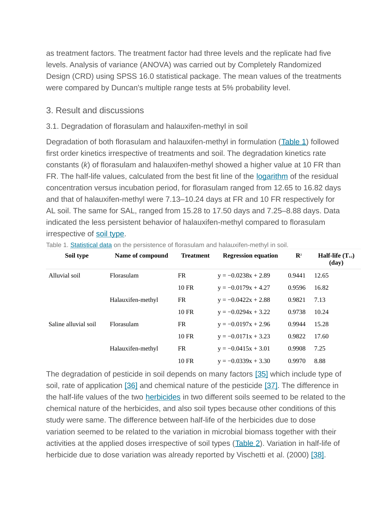as treatment factors. The treatment factor had three levels and the replicate had five levels. Analysis of variance (ANOVA) was carried out by Completely Randomized Design (CRD) using SPSS 16.0 statistical package. The mean values of the treatments were compared by Duncan's multiple range tests at 5% probability level.

# 3. Result and discussions

# 3.1. Degradation of florasulam and halauxifen-methyl in soil

Degradation of both florasulam and halauxifen-methyl in formulation [\( Table](https://www.sciencedirect.com/science/article/pii/S1164556316300097?via%3Dihub#tbl1) 1) followed first order kinetics irrespective of treatments and soil. The degradation kinetics rate constants (*k*) of florasulam and halauxifen-methyl showed a higher value at 10 FR than FR. The half-life values, calculated from the best fit line of the [logarithm](https://www.sciencedirect.com/topics/earth-and-planetary-sciences/logarithms) of the residual concentration versus incubation period, for florasulam ranged from 12.65 to 16.82 days and that of halauxifen-methyl were 7.13–10.24 days at FR and 10 FR respectively for AL soil. The same for SAL, ranged from 15.28 to 17.50 days and 7.25–8.88 days. Data indicated the less persistent behavior of halauxifen-methyl compared to florasulam irrespective of [soil type.](https://www.sciencedirect.com/topics/earth-and-planetary-sciences/soil-type)

| Soil type            | Name of compound  | <b>Treatment</b> | <b>Regression equation</b> | $\mathbf{R}^2$ | Half-life $(T_{1/2})$<br>(day) |
|----------------------|-------------------|------------------|----------------------------|----------------|--------------------------------|
| Alluvial soil        | Florasulam        | FR.              | $y = -0.0238x + 2.89$      | 0.9441         | 12.65                          |
|                      |                   | <b>10 FR</b>     | $y = -0.0179x + 4.27$      | 0.9596         | 16.82                          |
|                      | Halauxifen-methyl | FR               | $y = -0.0422x + 2.88$      | 0.9821         | 7.13                           |
|                      |                   | $10$ FR          | $y = -0.0294x + 3.22$      | 0.9738         | 10.24                          |
| Saline alluvial soil | Florasulam        | FR.              | $y = -0.0197x + 2.96$      | 0.9944         | 15.28                          |
|                      |                   | $10$ FR          | $y = -0.0171x + 3.23$      | 0.9822         | 17.60                          |
|                      | Halauxifen-methyl | FR               | $y = -0.0415x + 3.01$      | 0.9908         | 7.25                           |
|                      |                   | $10$ FR          | $y = -0.0339x + 3.30$      | 0.9970         | 8.88                           |

Table 1. [Statistical data](https://www.sciencedirect.com/topics/earth-and-planetary-sciences/statistical-data) on the persistence of florasulam and halauxifen-methyl in soil.

The degradation of pesticide in soil depends on many factors [\[35\]](https://www.sciencedirect.com/science/article/pii/S1164556316300097?via%3Dihub#bib35) which include type of soil, rate of application [\[36\]](https://www.sciencedirect.com/science/article/pii/S1164556316300097?via%3Dihub#bib36) and chemical nature of the pesticide [\[37\].](https://www.sciencedirect.com/science/article/pii/S1164556316300097?via%3Dihub#bib37) The difference in the half-life values of the two **[herbicides](https://www.sciencedirect.com/topics/earth-and-planetary-sciences/herbicides)** in two different soils seemed to be related to the chemical nature of the herbicides, and also soil types because other conditions of this study were same. The difference between half-life of the herbicides due to dose variation seemed to be related to the variation in microbial biomass together with their activities at the applied doses irrespective of soil types (Table 2). Variation in half-life of herbicide due to dose variation was already reported by Vischetti et al. (2000) [\[38\].](https://www.sciencedirect.com/science/article/pii/S1164556316300097?via%3Dihub#bib38)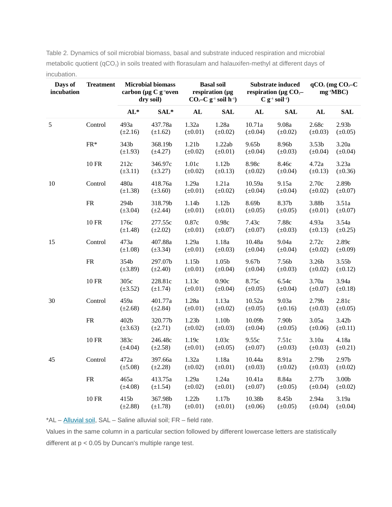| Days of<br>incubation | <b>Treatment</b>  | <b>Microbial biomass</b><br>carbon ( $\mu$ g C g <sup>-1</sup> oven<br>dry soil) |                         | <b>Basal soil</b><br>respiration (µg<br>$CO2-C$ g <sup>-1</sup> soil h <sup>-1</sup> ) |                                   | <b>Substrate induced</b><br>respiration ( $\mu$ g CO <sub>2</sub> -<br>$C$ g <sup>-1</sup> soil <sup>-1</sup> ) |                       | $qCO2$ (mg $CO2-C$<br>$mg^{-1}MBC$ ) |                                   |
|-----------------------|-------------------|----------------------------------------------------------------------------------|-------------------------|----------------------------------------------------------------------------------------|-----------------------------------|-----------------------------------------------------------------------------------------------------------------|-----------------------|--------------------------------------|-----------------------------------|
|                       |                   | $AL*$                                                                            | SAL*                    | AL                                                                                     | <b>SAL</b>                        | AL                                                                                                              | <b>SAL</b>            | AL                                   | <b>SAL</b>                        |
| 5                     | Control           | 493a<br>$(\pm 2.16)$                                                             | 437.78a<br>$(\pm 1.62)$ | 1.32a<br>$(\pm 0.01)$                                                                  | 1.28a<br>$(\pm 0.02)$             | 10.71a<br>$(\pm 0.04)$                                                                                          | 9.08a<br>$(\pm 0.02)$ | 2.68c<br>$(\pm 0.03)$                | 2.93 <sub>b</sub><br>$(\pm 0.05)$ |
|                       | $\mathrm{FR}^*$   | 343b<br>$(\pm 1.93)$                                                             | 368.19b<br>$(\pm 4.27)$ | 1.21b<br>$(\pm 0.02)$                                                                  | 1.22ab<br>$(\pm 0.01)$            | 9.65b<br>$(\pm 0.04)$                                                                                           | 8.96b<br>$(\pm 0.03)$ | 3.53 <sub>b</sub><br>$(\pm 0.04)$    | 3.20a<br>$(\pm 0.04)$             |
|                       | $10\;\mathrm{FR}$ | 212c<br>$(\pm 3.11)$                                                             | 346.97c<br>$(\pm 3.27)$ | 1.01c<br>$(\pm 0.02)$                                                                  | 1.12 <sub>b</sub><br>$(\pm 0.13)$ | 8.98c<br>$(\pm 0.02)$                                                                                           | 8.46с<br>$(\pm 0.04)$ | 4.72a<br>$(\pm 0.13)$                | 3.23a<br>$(\pm 0.36)$             |
| $10\,$                | Control           | 480a<br>$(\pm 1.38)$                                                             | 418.76a<br>$(\pm 3.60)$ | 1.29a<br>$(\pm 0.01)$                                                                  | 1.21a<br>$(\pm 0.02)$             | 10.59a<br>$(\pm 0.04)$                                                                                          | 9.15a<br>$(\pm 0.04)$ | 2.70c<br>$(\pm 0.02)$                | 2.89b<br>$(\pm 0.07)$             |
|                       | ${\rm FR}$        | 294b<br>$(\pm 3.04)$                                                             | 318.79b<br>$(\pm 2.44)$ | 1.14b<br>$(\pm 0.01)$                                                                  | 1.12 <sub>b</sub><br>$(\pm 0.01)$ | 8.69b<br>$(\pm 0.05)$                                                                                           | 8.37b<br>$(\pm 0.05)$ | 3.88b<br>$(\pm 0.01)$                | 3.51a<br>$(\pm 0.07)$             |
|                       | <b>10 FR</b>      | 176с<br>$(\pm 1.48)$                                                             | 277.55c<br>$(\pm 2.02)$ | 0.87c<br>$(\pm 0.01)$                                                                  | 0.98c<br>$(\pm 0.07)$             | 7.43c<br>$(\pm 0.07)$                                                                                           | 7.88c<br>$(\pm 0.03)$ | 4.93a<br>$(\pm 0.13)$                | 3.54a<br>$(\pm 0.25)$             |
| 15                    | Control           | 473a<br>$(\pm 1.08)$                                                             | 407.88a<br>$(\pm 3.34)$ | 1.29a<br>$(\pm 0.01)$                                                                  | 1.18a<br>$(\pm 0.03)$             | 10.48a<br>$(\pm 0.04)$                                                                                          | 9.04a<br>$(\pm 0.04)$ | 2.72c<br>$(\pm 0.02)$                | 2.89с<br>$(\pm 0.09)$             |
|                       | ${\rm FR}$        | 354b<br>$(\pm 3.89)$                                                             | 297.07b<br>$(\pm 2.40)$ | 1.15 <sub>b</sub><br>$(\pm 0.01)$                                                      | 1.05b<br>$(\pm 0.04)$             | 9.67b<br>$(\pm 0.04)$                                                                                           | 7.56b<br>$(\pm 0.03)$ | 3.26b<br>$(\pm 0.02)$                | 3.55 <sub>b</sub><br>$(\pm 0.12)$ |
|                       | $10\;\mathrm{FR}$ | 305с<br>$(\pm 3.52)$                                                             | 228.81c<br>$(\pm 1.74)$ | 1.13c<br>$(\pm 0.01)$                                                                  | 0.90c<br>$(\pm 0.04)$             | 8.75c<br>$(\pm 0.05)$                                                                                           | 6.54c<br>$(\pm 0.04)$ | 3.70a<br>$(\pm 0.07)$                | 3.94a<br>$(\pm 0.18)$             |
| 30                    | Control           | 459a<br>$(\pm 2.68)$                                                             | 401.77a<br>$(\pm 2.84)$ | 1.28a<br>$(\pm 0.01)$                                                                  | 1.13a<br>$(\pm 0.02)$             | 10.52a<br>$(\pm 0.05)$                                                                                          | 9.03a<br>$(\pm 0.16)$ | 2.79b<br>$(\pm 0.03)$                | 2.81c<br>$(\pm 0.05)$             |
|                       | ${\rm FR}$        | 402b<br>$(\pm 3.63)$                                                             | 320.77b<br>$(\pm 2.71)$ | 1.23 <sub>b</sub><br>$(\pm 0.02)$                                                      | 1.10 <sub>b</sub><br>$(\pm 0.03)$ | 10.09b<br>$(\pm 0.04)$                                                                                          | 7.90b<br>$(\pm 0.05)$ | 3.05a<br>$(\pm 0.06)$                | 3.42 <sub>b</sub><br>$(\pm 0.11)$ |
|                       | <b>10 FR</b>      | 383с<br>$(\pm 4.04)$                                                             | 246.48c<br>$(\pm 2.58)$ | 1.19c<br>$(\pm 0.01)$                                                                  | 1.03c<br>$(\pm 0.05)$             | 9.55c<br>$(\pm 0.07)$                                                                                           | 7.51c<br>$(\pm 0.03)$ | 3.10a<br>$(\pm 0.03)$                | 4.18a<br>$(\pm 0.21)$             |
| 45                    | Control           | 472a<br>$(\pm 5.08)$                                                             | 397.66a<br>$(\pm 2.28)$ | 1.32a<br>$(\pm 0.02)$                                                                  | 1.18a<br>$(\pm 0.01)$             | 10.44a<br>$(\pm 0.03)$                                                                                          | 8.91a<br>$(\pm 0.02)$ | 2.79 <sub>b</sub><br>$(\pm 0.03)$    | 2.97 <sub>b</sub><br>$(\pm 0.02)$ |
|                       | ${\rm FR}$        | 465a<br>$(\pm 4.08)$                                                             | 413.75a<br>$(\pm 1.54)$ | 1.29a<br>$(\pm 0.02)$                                                                  | 1.24a<br>$(\pm 0.01)$             | 10.41a<br>$(\pm 0.07)$                                                                                          | 8.84a<br>$(\pm 0.05)$ | 2.77 <sub>b</sub><br>$(\pm 0.04)$    | 3.00 <sub>b</sub><br>$(\pm 0.02)$ |
|                       | <b>10 FR</b>      | 415b<br>$(\pm 2.88)$                                                             | 367.98b<br>$(\pm 1.78)$ | 1.22 <sub>b</sub><br>$(\pm 0.01)$                                                      | 1.17 <sub>b</sub><br>$(\pm 0.01)$ | 10.38b<br>$(\pm 0.06)$                                                                                          | 8.45b<br>$(\pm 0.05)$ | 2.94a<br>$(\pm 0.04)$                | 3.19a<br>$(\pm 0.04)$             |

Table 2. Dynamics of soil microbial biomass, basal and substrate induced respiration and microbial metabolic quotient (qCO<sub>2</sub>) in soils treated with florasulam and halauxifen-methyl at different days of incubation.

\*AL – [Alluvial soil,](https://www.sciencedirect.com/topics/earth-and-planetary-sciences/alluvial-soil) SAL – Saline alluvial soil; FR – field rate.

Values in the same column in a particular section followed by different lowercase letters are statistically different at p < 0.05 by Duncan's multiple range test.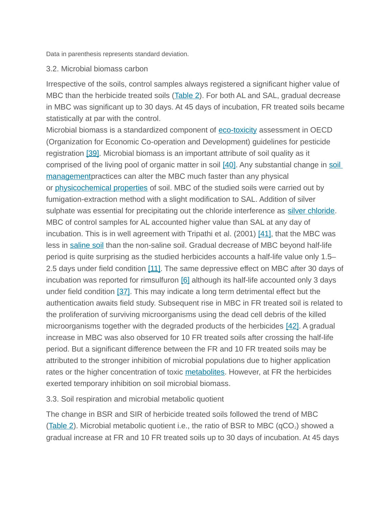Data in parenthesis represents standard deviation.

#### 3.2. Microbial biomass carbon

Irrespective of the soils, control samples always registered a significant higher value of MBC than the herbicide treated soils (Table 2). For both AL and SAL, gradual decrease in MBC was significant up to 30 days. At 45 days of incubation, FR treated soils became statistically at par with the control.

Microbial biomass is a standardized component of [eco-toxicity](https://www.sciencedirect.com/topics/earth-and-planetary-sciences/ecotoxicity) assessment in OECD (Organization for Economic Co-operation and Development) guidelines for pesticide registration [\[39\].](https://www.sciencedirect.com/science/article/pii/S1164556316300097?via%3Dihub#bib39) Microbial biomass is an important attribute of soil quality as it comprised of the living pool of organic matter in soil [\[40\].](https://www.sciencedirect.com/science/article/pii/S1164556316300097?via%3Dihub#bib40) Any substantial change in soil [managementp](https://www.sciencedirect.com/topics/earth-and-planetary-sciences/soil-management)ractices can alter the MBC much faster than any physical or [physicochemical properties](https://www.sciencedirect.com/topics/earth-and-planetary-sciences/physicochemical-property) of soil. MBC of the studied soils were carried out by fumigation-extraction method with a slight modification to SAL. Addition of silver sulphate was essential for precipitating out the chloride interference as [silver chloride.](https://www.sciencedirect.com/topics/earth-and-planetary-sciences/silver-chlorides) MBC of control samples for AL accounted higher value than SAL at any day of incubation. This is in well agreement with Tripathi et al. (2001)  $[41]$ , that the MBC was less in [saline soil](https://www.sciencedirect.com/topics/earth-and-planetary-sciences/saline-soil) than the non-saline soil. Gradual decrease of MBC beyond half-life period is quite surprising as the studied herbicides accounts a half-life value only 1.5– 2.5 days under field condition [\[11\].](https://www.sciencedirect.com/science/article/pii/S1164556316300097?via%3Dihub#bib11) The same depressive effect on MBC after 30 days of incubation was reported for rimsulfuron [\[6\]](https://www.sciencedirect.com/science/article/pii/S1164556316300097?via%3Dihub#bib6) although its half-life accounted only 3 days under field condition  $[37]$ . This may indicate a long term detrimental effect but the authentication awaits field study. Subsequent rise in MBC in FR treated soil is related to the proliferation of surviving microorganisms using the dead cell debris of the killed microorganisms together with the degraded products of the herbicides [\[42\].](https://www.sciencedirect.com/science/article/pii/S1164556316300097?via%3Dihub#bib42) A gradual increase in MBC was also observed for 10 FR treated soils after crossing the half-life period. But a significant difference between the FR and 10 FR treated soils may be attributed to the stronger inhibition of microbial populations due to higher application rates or the higher concentration of toxic [metabolites.](https://www.sciencedirect.com/topics/earth-and-planetary-sciences/metabolite) However, at FR the herbicides exerted temporary inhibition on soil microbial biomass.

## 3.3. Soil respiration and microbial metabolic quotient

The change in BSR and SIR of herbicide treated soils followed the trend of MBC (Table 2). Microbial metabolic quotient i.e., the ratio of BSR to MBC ( $qCO<sub>2</sub>$ ) showed a gradual increase at FR and 10 FR treated soils up to 30 days of incubation. At 45 days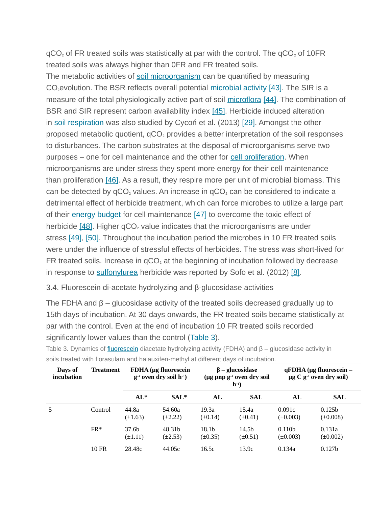$qCO<sub>2</sub>$  of FR treated soils was statistically at par with the control. The  $qCO<sub>2</sub>$  of 10FR treated soils was always higher than 0FR and FR treated soils.

The metabolic activities of [soil microorganism](https://www.sciencedirect.com/topics/earth-and-planetary-sciences/soil-microorganisms) can be quantified by measuring  $CO<sub>2</sub>evolution.$  The BSR reflects overall potential [microbial activity](https://www.sciencedirect.com/topics/earth-and-planetary-sciences/microbial-activity) [\[43\].](https://www.sciencedirect.com/science/article/pii/S1164556316300097?via%3Dihub#bib43) The SIR is a measure of the total physiologically active part of soil [microflora](https://www.sciencedirect.com/topics/earth-and-planetary-sciences/microflora) [\[44\].](https://www.sciencedirect.com/science/article/pii/S1164556316300097?via%3Dihub#bib44) The combination of BSR and SIR represent carbon availability index [\[45\].](https://www.sciencedirect.com/science/article/pii/S1164556316300097?via%3Dihub#bib45) Herbicide induced alteration in [soil respiration](https://www.sciencedirect.com/topics/earth-and-planetary-sciences/soil-respiration) was also studied by Cycoń et al. (2013) [\[29\].](https://www.sciencedirect.com/science/article/pii/S1164556316300097?via%3Dihub#bib29) Amongst the other proposed metabolic quotient,  $qCO<sub>2</sub>$  provides a better interpretation of the soil responses to disturbances. The carbon substrates at the disposal of microorganisms serve two purposes – one for cell maintenance and the other for [cell proliferation.](https://www.sciencedirect.com/topics/agricultural-and-biological-sciences/cell-growth) When microorganisms are under stress they spent more energy for their cell maintenance than proliferation [\[46\].](https://www.sciencedirect.com/science/article/pii/S1164556316300097?via%3Dihub#bib46) As a result, they respire more per unit of microbial biomass. This can be detected by  $qCO<sub>2</sub>$  values. An increase in  $qCO<sub>2</sub>$  can be considered to indicate a detrimental effect of herbicide treatment, which can force microbes to utilize a large part of their [energy budget](https://www.sciencedirect.com/topics/earth-and-planetary-sciences/energy-budget) for cell maintenance [\[47\]](https://www.sciencedirect.com/science/article/pii/S1164556316300097?via%3Dihub#bib47) to overcome the toxic effect of herbicide  $[48]$ . Higher  $qCO<sub>2</sub>$  value indicates that the microorganisms are under stress [\[49\],](https://www.sciencedirect.com/science/article/pii/S1164556316300097?via%3Dihub#bib49) [\[50\].](https://www.sciencedirect.com/science/article/pii/S1164556316300097?via%3Dihub#bib50) Throughout the incubation period the microbes in 10 FR treated soils were under the influence of stressful effects of herbicides. The stress was short-lived for FR treated soils. Increase in  $qCO<sub>2</sub>$  at the beginning of incubation followed by decrease in response to [sulfonylurea](https://www.sciencedirect.com/topics/agricultural-and-biological-sciences/sulfonylurea) herbicide was reported by Sofo et al. (2012) [\[8\].](https://www.sciencedirect.com/science/article/pii/S1164556316300097?via%3Dihub#bib8)

3.4. Fluorescein di-acetate hydrolyzing and β-glucosidase activities

The FDHA and  $\beta$  – glucosidase activity of the treated soils decreased gradually up to 15th days of incubation. At 30 days onwards, the FR treated soils became statistically at par with the control. Even at the end of incubation 10 FR treated soils recorded significantly lower values than the control (Table 3).

| Days of<br>incubation | <b>Treatment</b> | <b>FDHA</b> (µg fluorescein<br>$g^{-1}$ oven dry soil h <sup>-1</sup> ) |                        | $\beta$ – glucosidase<br>(µg pnp g <sup>-1</sup> oven dry soil<br>$h^{-1}$ |                                   | qFDHA (µg fluorescein –<br>$\mu$ g C g <sup>-1</sup> oven dry soil) |                                     |
|-----------------------|------------------|-------------------------------------------------------------------------|------------------------|----------------------------------------------------------------------------|-----------------------------------|---------------------------------------------------------------------|-------------------------------------|
|                       |                  | $AL*$                                                                   | $SAL*$                 | AL                                                                         | <b>SAL</b>                        | AL                                                                  | <b>SAL</b>                          |
| 5                     | Control          | 44.8a<br>$(\pm 1.63)$                                                   | 54.60a<br>$(\pm 2.22)$ | 19.3a<br>$(\pm 0.14)$                                                      | 15.4a<br>$(\pm 0.41)$             | 0.091c<br>$(\pm 0.003)$                                             | 0.125 <sub>b</sub><br>$(\pm 0.008)$ |
|                       | $FR*$            | 37.6b<br>$(\pm 1.11)$                                                   | 48.31b<br>$(\pm 2.53)$ | 18.1 <sub>b</sub><br>$(\pm 0.35)$                                          | 14.5 <sub>b</sub><br>$(\pm 0.51)$ | 0.110 <sub>b</sub><br>$(\pm 0.003)$                                 | 0.131a<br>$(\pm 0.002)$             |
|                       | <b>10 FR</b>     | 28.48c                                                                  | 44.05c                 | 16.5c                                                                      | 13.9c                             | 0.134a                                                              | 0.127 <sub>b</sub>                  |

Table 3. Dynamics of [fluorescein](https://www.sciencedirect.com/topics/agricultural-and-biological-sciences/fluorescein) diacetate hydrolyzing activity (FDHA) and β – glucosidase activity in soils treated with florasulam and halauxifen-methyl at different days of incubation.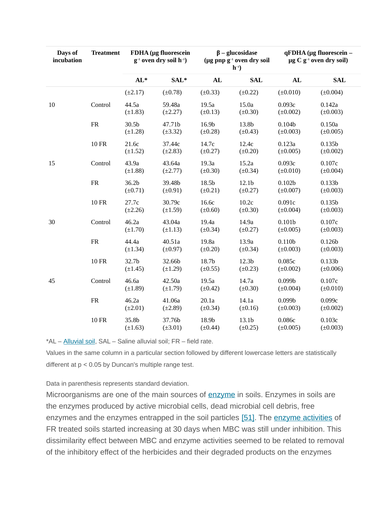| Days of<br>incubation | <b>Treatment</b>  | FDHA (µg fluorescein<br>$g^{-1}$ oven dry soil h <sup>-1</sup> ) |                        | $\beta$ – glucosidase<br>( $\mu$ g pnp g <sup>-1</sup> oven dry soil<br>$h^{-1}$ |                                   | qFDHA (µg fluorescein -<br>$\mu$ g C g <sup>-1</sup> oven dry soil) |                                     |
|-----------------------|-------------------|------------------------------------------------------------------|------------------------|----------------------------------------------------------------------------------|-----------------------------------|---------------------------------------------------------------------|-------------------------------------|
|                       |                   | $AL*$                                                            | SAL*                   | AL                                                                               | <b>SAL</b>                        | AL                                                                  | <b>SAL</b>                          |
|                       |                   | $(\pm 2.17)$                                                     | $(\pm 0.78)$           | $(\pm 0.33)$                                                                     | $(\pm 0.22)$                      | $(\pm 0.010)$                                                       | $(\pm 0.004)$                       |
| 10                    | Control           | 44.5a<br>$(\pm 1.83)$                                            | 59.48a<br>$(\pm 2.27)$ | 19.5a<br>$(\pm 0.13)$                                                            | 15.0a<br>$(\pm 0.30)$             | 0.093c<br>$(\pm 0.002)$                                             | 0.142a<br>$(\pm 0.003)$             |
|                       | ${\rm FR}$        | 30.5b<br>$(\pm 1.28)$                                            | 47.71b<br>$(\pm 3.32)$ | 16.9b<br>$(\pm 0.28)$                                                            | 13.8b<br>$(\pm 0.43)$             | 0.104 <sub>b</sub><br>$(\pm 0.003)$                                 | 0.150a<br>$(\pm 0.005)$             |
|                       | <b>10 FR</b>      | 21.6с<br>$(\pm 1.52)$                                            | 37.44c<br>$(\pm 2.83)$ | 14.7c<br>$(\pm 0.27)$                                                            | 12.4c<br>$(\pm 0.20)$             | 0.123a<br>$(\pm 0.005)$                                             | 0.135 <sub>b</sub><br>$(\pm 0.002)$ |
| 15                    | Control           | 43.9a<br>$(\pm 1.88)$                                            | 43.64a<br>$(\pm 2.77)$ | 19.3a<br>$(\pm 0.30)$                                                            | 15.2a<br>$(\pm 0.34)$             | 0.093c<br>$(\pm 0.010)$                                             | 0.107c<br>$(\pm 0.004)$             |
|                       | ${\rm FR}$        | 36.2b<br>$(\pm 0.71)$                                            | 39.48b<br>$(\pm 0.91)$ | 18.5b<br>$(\pm 0.21)$                                                            | 12.1 <sub>b</sub><br>$(\pm 0.27)$ | 0.102 <sub>b</sub><br>$(\pm 0.007)$                                 | 0.133 <sub>b</sub><br>$(\pm 0.003)$ |
|                       | <b>10 FR</b>      | 27.7c<br>$(\pm 2.26)$                                            | 30.79c<br>$(\pm 1.59)$ | 16.6c<br>$(\pm 0.60)$                                                            | 10.2c<br>$(\pm 0.30)$             | 0.091c<br>$(\pm 0.004)$                                             | 0.135 <sub>b</sub><br>$(\pm 0.003)$ |
| 30                    | Control           | 46.2a<br>$(\pm 1.70)$                                            | 43.04a<br>$(\pm 1.13)$ | 19.4a<br>$(\pm 0.34)$                                                            | 14.9a<br>$(\pm 0.27)$             | 0.101 <sub>b</sub><br>$(\pm 0.005)$                                 | 0.107c<br>$(\pm 0.003)$             |
|                       | ${\rm FR}$        | 44.4a<br>$(\pm 1.34)$                                            | 40.51a<br>$(\pm 0.97)$ | 19.8a<br>$(\pm 0.20)$                                                            | 13.9a<br>$(\pm 0.34)$             | 0.110 <sub>b</sub><br>$(\pm 0.003)$                                 | 0.126 <sub>b</sub><br>$(\pm 0.003)$ |
|                       | <b>10 FR</b>      | 32.7b<br>$(\pm 1.45)$                                            | 32.66b<br>$(\pm 1.29)$ | 18.7b<br>$(\pm 0.55)$                                                            | 12.3 <sub>b</sub><br>$(\pm 0.23)$ | 0.085c<br>$(\pm 0.002)$                                             | 0.133 <sub>b</sub><br>$(\pm 0.006)$ |
| 45                    | Control           | 46.6a<br>$(\pm 1.89)$                                            | 42.50a<br>$(\pm 1.79)$ | 19.5a<br>$(\pm 0.42)$                                                            | 14.7a<br>$(\pm 0.30)$             | 0.099 <sub>b</sub><br>$(\pm 0.004)$                                 | 0.107c<br>$(\pm 0.010)$             |
|                       | ${\rm FR}$        | 46.2a<br>$(\pm 2.01)$                                            | 41.06a<br>$(\pm 2.89)$ | 20.1a<br>$(\pm 0.34)$                                                            | 14.1a<br>$(\pm 0.16)$             | 0.099 <sub>b</sub><br>$(\pm 0.003)$                                 | 0.099c<br>$(\pm 0.002)$             |
|                       | $10\;\mathrm{FR}$ | 35.8b<br>$(\pm 1.63)$                                            | 37.76b<br>$(\pm 3.01)$ | 18.9b<br>$(\pm 0.44)$                                                            | 13.1b<br>$(\pm 0.25)$             | 0.086с<br>$(\pm 0.005)$                                             | 0.103c<br>$(\pm 0.003)$             |

\*AL – [Alluvial soil,](https://www.sciencedirect.com/topics/earth-and-planetary-sciences/alluvial-soil) SAL – Saline alluvial soil; FR – field rate.

Values in the same column in a particular section followed by different lowercase letters are statistically different at p < 0.05 by Duncan's multiple range test.

Data in parenthesis represents standard deviation.

Microorganisms are one of the main sources of **[enzyme](https://www.sciencedirect.com/topics/earth-and-planetary-sciences/enzyme)** in soils. Enzymes in soils are the enzymes produced by active microbial cells, dead microbial cell debris, free enzymes and the enzymes entrapped in the soil particles [\[51\].](https://www.sciencedirect.com/science/article/pii/S1164556316300097?via%3Dihub#bib51) The [enzyme activities](https://www.sciencedirect.com/topics/agricultural-and-biological-sciences/enzyme-assay) of FR treated soils started increasing at 30 days when MBC was still under inhibition. This dissimilarity effect between MBC and enzyme activities seemed to be related to removal of the inhibitory effect of the herbicides and their degraded products on the enzymes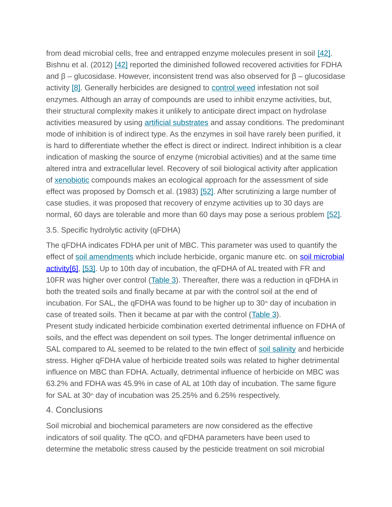from dead microbial cells, free and entrapped enzyme molecules present in soil [\[42\].](https://www.sciencedirect.com/science/article/pii/S1164556316300097?via%3Dihub#bib42) Bishnu et al. (2012) [\[42\]](https://www.sciencedirect.com/science/article/pii/S1164556316300097?via%3Dihub#bib42) reported the diminished followed recovered activities for FDHA and  $β$  – glucosidase. However, inconsistent trend was also observed for  $β$  – glucosidase activity [\[8\].](https://www.sciencedirect.com/science/article/pii/S1164556316300097?via%3Dihub#bib8) Generally herbicides are designed to [control weed](https://www.sciencedirect.com/topics/earth-and-planetary-sciences/weed-control) infestation not soil enzymes. Although an array of compounds are used to inhibit enzyme activities, but, their structural complexity makes it unlikely to anticipate direct impact on hydrolase activities measured by using **[artificial substrates](https://www.sciencedirect.com/topics/earth-and-planetary-sciences/artificial-substrate)** and assay conditions. The predominant mode of inhibition is of indirect type. As the enzymes in soil have rarely been purified, it is hard to differentiate whether the effect is direct or indirect. Indirect inhibition is a clear indication of masking the source of enzyme (microbial activities) and at the same time altered intra and extracellular level. Recovery of soil biological activity after application of [xenobiotic](https://www.sciencedirect.com/topics/earth-and-planetary-sciences/xenobiotics) compounds makes an ecological approach for the assessment of side effect was proposed by Domsch et al. (1983) [\[52\].](https://www.sciencedirect.com/science/article/pii/S1164556316300097?via%3Dihub#bib52) After scrutinizing a large number of case studies, it was proposed that recovery of enzyme activities up to 30 days are normal, 60 days are tolerable and more than 60 days may pose a serious problem [\[52\].](https://www.sciencedirect.com/science/article/pii/S1164556316300097?via%3Dihub#bib52)

# 3.5. Specific hydrolytic activity (qFDHA)

The qFDHA indicates FDHA per unit of MBC. This parameter was used to quantify the effect of [soil amendments](https://www.sciencedirect.com/topics/earth-and-planetary-sciences/soil-amendment) which include herbicide, organic manure etc. on [soil microbial](https://www.sciencedirect.com/topics/earth-and-planetary-sciences/soil-microbial-activity)  [activity](https://www.sciencedirect.com/topics/earth-and-planetary-sciences/soil-microbial-activity)[\[6\],](https://www.sciencedirect.com/science/article/pii/S1164556316300097?via%3Dihub#bib6) [\[53\].](https://www.sciencedirect.com/science/article/pii/S1164556316300097?via%3Dihub#bib53) Up to 10th day of incubation, the qFDHA of AL treated with FR and 10FR was higher over control (Table 3). Thereafter, there was a reduction in qFDHA in both the treated soils and finally became at par with the control soil at the end of incubation. For SAL, the qFDHA was found to be higher up to  $30<sup>th</sup>$  day of incubation in case of treated soils. Then it became at par with the control (Table 3). Present study indicated herbicide combination exerted detrimental influence on FDHA of soils, and the effect was dependent on soil types. The longer detrimental influence on SAL compared to AL seemed to be related to the twin effect of [soil salinity](https://www.sciencedirect.com/topics/earth-and-planetary-sciences/soil-salinity) and herbicide stress. Higher qFDHA value of herbicide treated soils was related to higher detrimental influence on MBC than FDHA. Actually, detrimental influence of herbicide on MBC was 63.2% and FDHA was 45.9% in case of AL at 10th day of incubation. The same figure for SAL at  $30<sup>th</sup>$  day of incubation was 25.25% and 6.25% respectively.

# 4. Conclusions

Soil microbial and biochemical parameters are now considered as the effective indicators of soil quality. The  $qCO<sub>2</sub>$  and  $qFDHA$  parameters have been used to determine the metabolic stress caused by the pesticide treatment on soil microbial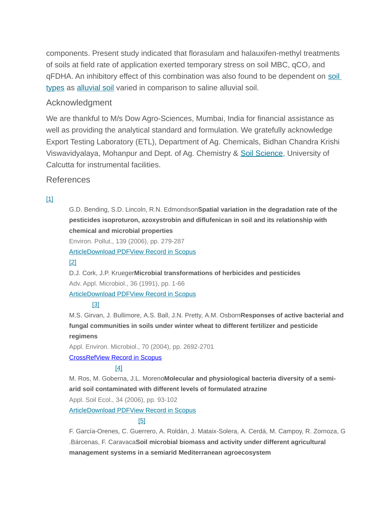components. Present study indicated that florasulam and halauxifen-methyl treatments of soils at field rate of application exerted temporary stress on soil MBC,  $qCO<sub>2</sub>$  and qFDHA. An inhibitory effect of this combination was also found to be dependent on soil [types](https://www.sciencedirect.com/topics/earth-and-planetary-sciences/soil-type) as [alluvial soil](https://www.sciencedirect.com/topics/earth-and-planetary-sciences/alluvial-soil) varied in comparison to saline alluvial soil.

## Acknowledgment

We are thankful to M/s Dow Agro-Sciences, Mumbai, India for financial assistance as well as providing the analytical standard and formulation. We gratefully acknowledge Export Testing Laboratory (ETL), Department of Ag. Chemicals, Bidhan Chandra Krishi Viswavidyalaya, Mohanpur and Dept. of Ag. Chemistry & [Soil Science,](https://www.sciencedirect.com/topics/earth-and-planetary-sciences/soil-science) University of Calcutta for instrumental facilities.

#### References

#### [\[1\]](https://www.sciencedirect.com/science/article/pii/S1164556316300097?via%3Dihub#bbib1)

G.D. Bending, S.D. Lincoln, R.N. Edmondson**Spatial variation in the degradation rate of the pesticides isoproturon, azoxystrobin and diflufenican in soil and its relationship with chemical and microbial properties**

Environ. Pollut., 139 (2006), pp. 279-287

 [Article](https://www.sciencedirect.com/science/article/pii/S0269749105002903) [Download PDF](https://www.sciencedirect.com/science/article/pii/S0269749105002903/pdfft?md5=e985cc24eacee309fb66e8a66272f510&pid=1-s2.0-S0269749105002903-main.pdf)[View Record in Scopus](https://www.scopus.com/inward/record.url?eid=2-s2.0-28844434536&partnerID=10&rel=R3.0.0)

#### [\[2\]](https://www.sciencedirect.com/science/article/pii/S1164556316300097?via%3Dihub#bbib2)

D.J. Cork, J.P. Krueger**Microbial transformations of herbicides and pesticides** Adv. Appl. Microbiol., 36 (1991), pp. 1-66

 [Article](https://www.sciencedirect.com/science/article/pii/S0065216408704507) [Download PDF](https://www.sciencedirect.com/science/article/pii/S0065216408704507/pdf?md5=fca75e60c8a5e5b12e0971feeaa389b8&pid=1-s2.0-S0065216408704507-main.pdf)[View Record in Scopus](https://www.scopus.com/inward/record.url?eid=2-s2.0-0025772480&partnerID=10&rel=R3.0.0)

#### [\[3\]](https://www.sciencedirect.com/science/article/pii/S1164556316300097?via%3Dihub#bbib3)

M.S. Girvan, J. Bullimore, A.S. Ball, J.N. Pretty, A.M. Osborn**Responses of active bacterial and fungal communities in soils under winter wheat to different fertilizer and pesticide regimens**

Appl. Environ. Microbiol., 70 (2004), pp. 2692-2701

#### [CrossRef](https://doi.org/10.1128/AEM.70.5.2692-2701.2004)[View Record in Scopus](https://www.scopus.com/inward/record.url?eid=2-s2.0-2442654454&partnerID=10&rel=R3.0.0)

#### [\[4\]](https://www.sciencedirect.com/science/article/pii/S1164556316300097?via%3Dihub#bbib4)

M. Ros, M. Goberna, J.L. Moreno**Molecular and physiological bacteria diversity of a semiarid soil contaminated with different levels of formulated atrazine**

Appl. Soil Ecol., 34 (2006), pp. 93-102

 [Article](https://www.sciencedirect.com/science/article/pii/S0929139306000709) [Download PDF](https://www.sciencedirect.com/science/article/pii/S0929139306000709/pdfft?md5=a620b110f97167b8b9f2e0916583a3af&pid=1-s2.0-S0929139306000709-main.pdf)[View Record in Scopus](https://www.scopus.com/inward/record.url?eid=2-s2.0-33748422932&partnerID=10&rel=R3.0.0)

#### [\[5\]](https://www.sciencedirect.com/science/article/pii/S1164556316300097?via%3Dihub#bbib5)

F. García-Orenes, C. Guerrero, A. Roldán, J. Mataix-Solera, A. Cerdá, M. Campoy, R. Zornoza, G .Bárcenas, F. Caravaca**Soil microbial biomass and activity under different agricultural management systems in a semiarid Mediterranean agroecosystem**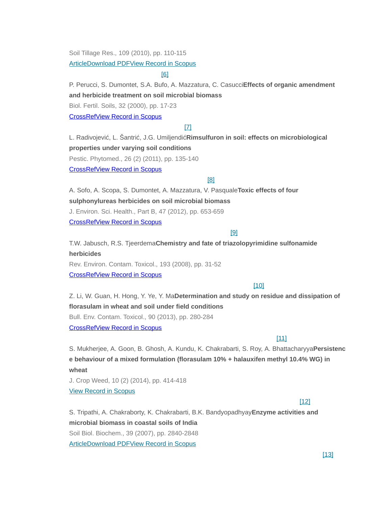Soil Tillage Res., 109 (2010), pp. 110-115

**Article [Download PDF](https://www.sciencedirect.com/science/article/pii/S0167198710000838/pdfft?md5=49f4b4f7ad8fec2c1d770529ea5c1503&pid=1-s2.0-S0167198710000838-main.pdf)[View Record in Scopus](https://www.scopus.com/inward/record.url?eid=2-s2.0-77955051505&partnerID=10&rel=R3.0.0)** 

[\[6\]](https://www.sciencedirect.com/science/article/pii/S1164556316300097?via%3Dihub#bbib6)

P. Perucci, S. Dumontet, S.A. Bufo, A. Mazzatura, C. Casucci**Effects of organic amendment and herbicide treatment on soil microbial biomass**

Biol. Fertil. Soils, 32 (2000), pp. 17-23

 [CrossRef](https://doi.org/10.1007/s003740000207)[View Record in Scopus](https://www.scopus.com/inward/record.url?eid=2-s2.0-0034476757&partnerID=10&rel=R3.0.0)

#### [\[7\]](https://www.sciencedirect.com/science/article/pii/S1164556316300097?via%3Dihub#bbib7)

L. Radivojević, L. Šantrić, J.G. Umiljendić**Rimsulfuron in soil: effects on microbiological properties under varying soil conditions**

Pestic. Phytomed., 26 (2) (2011), pp. 135-140

 [CrossRef](https://doi.org/10.2298/PIF1102135R)[View Record in Scopus](https://www.scopus.com/inward/record.url?eid=2-s2.0-84864546600&partnerID=10&rel=R3.0.0)

#### [\[8\]](https://www.sciencedirect.com/science/article/pii/S1164556316300097?via%3Dihub#bbib8)

A. Sofo, A. Scopa, S. Dumontet, A. Mazzatura, V. Pasquale**Toxic effects of four sulphonylureas herbicides on soil microbial biomass** J. Environ. Sci. Health., Part B, 47 (2012), pp. 653-659

 [CrossRef](https://doi.org/10.1080/03601234.2012.669205)[View Record in Scopus](https://www.scopus.com/inward/record.url?eid=2-s2.0-84861219252&partnerID=10&rel=R3.0.0)

#### [\[9\]](https://www.sciencedirect.com/science/article/pii/S1164556316300097?via%3Dihub#bbib9)

T.W. Jabusch, R.S. Tjeerdema**Chemistry and fate of triazolopyrimidine sulfonamide herbicides** Rev. Environ. Contam. Toxicol., 193 (2008), pp. 31-52

 [CrossRef](https://doi.org/10.1007/978-0-387-73163-6_2)[View Record in Scopus](https://www.scopus.com/inward/record.url?eid=2-s2.0-77956015389&partnerID=10&rel=R3.0.0)

#### [\[10\]](https://www.sciencedirect.com/science/article/pii/S1164556316300097?via%3Dihub#bbib10)

Z. Li, W. Guan, H. Hong, Y. Ye, Y. Ma**Determination and study on residue and dissipation of florasulam in wheat and soil under field conditions** Bull. Env. Contam. Toxicol., 90 (2013), pp. 280-284

 [CrossRef](https://doi.org/10.1007/s00128-012-0916-0)[View Record in Scopus](https://www.scopus.com/inward/record.url?eid=2-s2.0-84876184061&partnerID=10&rel=R3.0.0)

## [\[11\]](https://www.sciencedirect.com/science/article/pii/S1164556316300097?via%3Dihub#bbib11)

S. Mukherjee, A. Goon, B. Ghosh, A. Kundu, K. Chakrabarti, S. Roy, A. Bhattacharyya**Persistenc e behaviour of a mixed formulation (florasulam 10% + halauxifen methyl 10.4% WG) in wheat**

J. Crop Weed, 10 (2) (2014), pp. 414-418 [View Record in Scopus](https://www.scopus.com/inward/record.url?eid=2-s2.0-84958184954&partnerID=10&rel=R3.0.0)

#### [\[12\]](https://www.sciencedirect.com/science/article/pii/S1164556316300097?via%3Dihub#bbib12)

S. Tripathi, A. Chakraborty, K. Chakrabarti, B.K. Bandyopadhyay**Enzyme activities and microbial biomass in coastal soils of India** Soil Biol. Biochem., 39 (2007), pp. 2840-2848 **Article [Download PDF](https://www.sciencedirect.com/science/article/pii/S0038071707002544/pdfft?md5=5ee210cc83204072965e2c618aa4e3b0&pid=1-s2.0-S0038071707002544-main.pdf)[View Record in Scopus](https://www.scopus.com/inward/record.url?eid=2-s2.0-34547804355&partnerID=10&rel=R3.0.0)**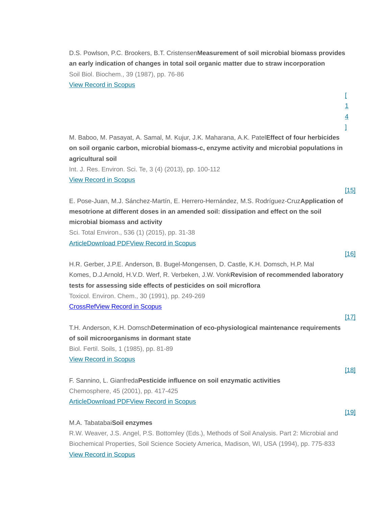D.S. Powlson, P.C. Brookers, B.T. Cristensen**Measurement of soil microbial biomass provides an early indication of changes in total soil organic matter due to straw incorporation** Soil Biol. Biochem., 39 (1987), pp. 76-86

[View Record in Scopus](https://www.scopus.com/inward/record.url?eid=2-s2.0-84958161607&partnerID=10&rel=R3.0.0)

M. Baboo, M. Pasayat, A. Samal, M. Kujur, J.K. Maharana, A.K. Patel**Effect of four herbicides on soil organic carbon, microbial biomass-c, enzyme activity and microbial populations in agricultural soil**

Int. J. Res. Environ. Sci. Te, 3 (4) (2013), pp. 100-112

[View Record in Scopus](https://www.scopus.com/inward/record.url?eid=2-s2.0-84969417475&partnerID=10&rel=R3.0.0)

[\[15\]](https://www.sciencedirect.com/science/article/pii/S1164556316300097?via%3Dihub#bbib15)

[\[16\]](https://www.sciencedirect.com/science/article/pii/S1164556316300097?via%3Dihub#bbib16)

[\[17\]](https://www.sciencedirect.com/science/article/pii/S1164556316300097?via%3Dihub#bbib17)

[\[18\]](https://www.sciencedirect.com/science/article/pii/S1164556316300097?via%3Dihub#bbib18)

[\[19\]](https://www.sciencedirect.com/science/article/pii/S1164556316300097?via%3Dihub#bbib19)

 $\Gamma$ [1](https://www.sciencedirect.com/science/article/pii/S1164556316300097?via%3Dihub#bbib14) 4  $\mathbf{I}$ 

E. Pose-Juan, M.J. Sánchez-Martín, E. Herrero-Hernández, M.S. Rodríguez-Cruz**Application of mesotrione at different doses in an amended soil: dissipation and effect on the soil microbial biomass and activity** Sci. Total Environ., 536 (1) (2015), pp. 31-38  [Article](https://www.sciencedirect.com/science/article/pii/S004896971530382X) [Download PDF](https://www.sciencedirect.com/science/article/pii/S004896971530382X/pdfft?md5=49d9e70bddcae899cc74016afe2c3553&pid=1-s2.0-S004896971530382X-main.pdf)[View Record in Scopus](https://www.scopus.com/inward/record.url?eid=2-s2.0-84937053251&partnerID=10&rel=R3.0.0)

H.R. Gerber, J.P.E. Anderson, B. Bugel-Mongensen, D. Castle, K.H. Domsch, H.P. Mal Komes, D.J.Arnold, H.V.D. Werf, R. Verbeken, J.W. Vonk**Revision of recommended laboratory tests for assessing side effects of pesticides on soil microflora** Toxicol. Environ. Chem., 30 (1991), pp. 249-269  [CrossRef](https://doi.org/10.1080/02772249109357663)[View Record in Scopus](https://www.scopus.com/inward/record.url?eid=2-s2.0-5244315084&partnerID=10&rel=R3.0.0)

T.H. Anderson, K.H. Domsch**Determination of eco-physiological maintenance requirements of soil microorganisms in dormant state** Biol. Fertil. Soils, 1 (1985), pp. 81-89 [View Record in Scopus](https://www.scopus.com/inward/record.url?eid=2-s2.0-0001885816&partnerID=10&rel=R3.0.0)

F. Sannino, L. Gianfreda**Pesticide influence on soil enzymatic activities** Chemosphere, 45 (2001), pp. 417-425 **Article [Download PDF](https://www.sciencedirect.com/science/article/pii/S0045653501000455/pdfft?md5=6dec8df109494da8fd4ec9db94ac6037&pid=1-s2.0-S0045653501000455-main.pdf)[View Record in Scopus](https://www.scopus.com/inward/record.url?eid=2-s2.0-0034804619&partnerID=10&rel=R3.0.0)** 

M.A. Tabatabai**Soil enzymes**

R.W. Weaver, J.S. Angel, P.S. Bottomley (Eds.), Methods of Soil Analysis. Part 2: Microbial and Biochemical Properties, Soil Science Society America, Madison, WI, USA (1994), pp. 775-833 [View Record in Scopus](https://www.scopus.com/inward/record.url?eid=2-s2.0-18644376848&partnerID=10&rel=R3.0.0)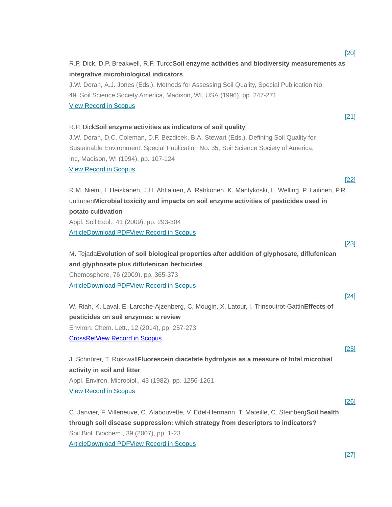R.P. Dick, D.P. Breakwell, R.F. Turco**Soil enzyme activities and biodiversity measurements as integrative microbiological indicators** J.W. Doran, A.J. Jones (Eds.), Methods for Assessing Soil Quality, Special Publication No. 49, Soil Science Society America, Madison, WI, USA (1996), pp. 247-271 [View Record in Scopus](https://www.scopus.com/inward/record.url?eid=2-s2.0-79957851294&partnerID=10&rel=R3.0.0) [\[21\]](https://www.sciencedirect.com/science/article/pii/S1164556316300097?via%3Dihub#bbib21) R.P. Dick**Soil enzyme activities as indicators of soil quality** J.W. Doran, D.C. Coleman, D.F. Bezdicek, B.A. Stewart (Eds.), Defining Soil Quality for Sustainable Environment. Special Publication No. 35, Soil Science Society of America, Inc, Madison, WI (1994), pp. 107-124 [View Record in Scopus](https://www.scopus.com/inward/record.url?eid=2-s2.0-0028601694&partnerID=10&rel=R3.0.0) [\[22\]](https://www.sciencedirect.com/science/article/pii/S1164556316300097?via%3Dihub#bbib22) R.M. Niemi, I. Heiskanen, J.H. Ahtiainen, A. Rahkonen, K. Mäntykoski, L. Welling, P. Laitinen, P.R uuttunen**Microbial toxicity and impacts on soil enzyme activities of pesticides used in potato cultivation** Appl. Soil Ecol., 41 (2009), pp. 293-304  [Article](https://www.sciencedirect.com/science/article/pii/S0929139308001960) [Download PDF](https://www.sciencedirect.com/science/article/pii/S0929139308001960/pdfft?md5=8f0c4030c7fbc142eeb6fd9a46f7b6d8&pid=1-s2.0-S0929139308001960-main.pdf)[View Record in Scopus](https://www.scopus.com/inward/record.url?eid=2-s2.0-60549106178&partnerID=10&rel=R3.0.0) [\[23\]](https://www.sciencedirect.com/science/article/pii/S1164556316300097?via%3Dihub#bbib23) M. Tejada**Evolution of soil biological properties after addition of glyphosate, diflufenican and glyphosate plus diflufenican herbicides** Chemosphere, 76 (2009), pp. 365-373  [Article](https://www.sciencedirect.com/science/article/pii/S0045653509003567) [Download PDF](https://www.sciencedirect.com/science/article/pii/S0045653509003567/pdfft?md5=92c1daa2423bb288e021a60716b8caab&pid=1-s2.0-S0045653509003567-main.pdf)[View Record in Scopus](https://www.scopus.com/inward/record.url?eid=2-s2.0-67349272257&partnerID=10&rel=R3.0.0) [\[24\]](https://www.sciencedirect.com/science/article/pii/S1164556316300097?via%3Dihub#bbib24) W. Riah, K. Laval, E. Laroche-Ajzenberg, C. Mougin, X. Latour, I. Trinsoutrot-Gattin**Effects of pesticides on soil enzymes: a review** Environ. Chem. Lett., 12 (2014), pp. 257-273  [CrossRef](https://doi.org/10.1007/s10311-014-0458-2)[View Record in Scopus](https://www.scopus.com/inward/record.url?eid=2-s2.0-84899961381&partnerID=10&rel=R3.0.0) [\[25\]](https://www.sciencedirect.com/science/article/pii/S1164556316300097?via%3Dihub#bbib25) J. Schnürer, T. Rosswall**Fluorescein diacetate hydrolysis as a measure of total microbial activity in soil and litter** Appl. Environ. Microbiol., 43 (1982), pp. 1256-1261 [View Record in Scopus](https://www.scopus.com/inward/record.url?eid=2-s2.0-0019966926&partnerID=10&rel=R3.0.0) [\[26\]](https://www.sciencedirect.com/science/article/pii/S1164556316300097?via%3Dihub#bbib26) C. Janvier, F. Villeneuve, C. Alabouvette, V. Edel-Hermann, T. Mateille, C. Steinberg**Soil health through soil disease suppression: which strategy from descriptors to indicators?** Soil Biol. Biochem., 39 (2007), pp. 1-23

**Article [Download PDF](https://www.sciencedirect.com/science/article/pii/S0038071706003142/pdfft?md5=65dad426e5db832f8a5948c38616a736&pid=1-s2.0-S0038071706003142-main.pdf)[View Record in Scopus](https://www.scopus.com/inward/record.url?eid=2-s2.0-33750931826&partnerID=10&rel=R3.0.0)** 

[\[27\]](https://www.sciencedirect.com/science/article/pii/S1164556316300097?via%3Dihub#bbib27)

[\[20\]](https://www.sciencedirect.com/science/article/pii/S1164556316300097?via%3Dihub#bbib20)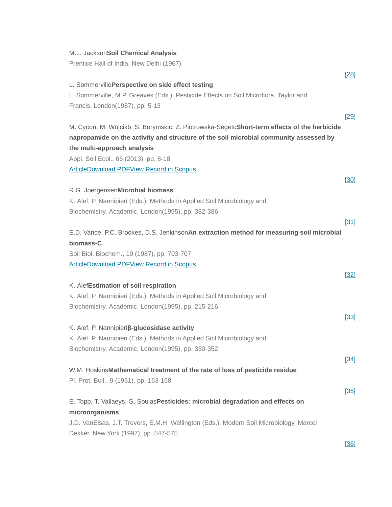#### M.L. Jackson**Soil Chemical Analysis**

Prentice Hall of India, New Delhi (1967)

|                                                                                             | $[28]$ |
|---------------------------------------------------------------------------------------------|--------|
| L. SommervillePerspective on side effect testing                                            |        |
| L. Sommerville, M.P. Greaves (Eds.), Pesticide Effects on Soil Microflora, Taylor and       |        |
| Francis, London(1987), pp. 5-13                                                             |        |
|                                                                                             | [29]   |
| M. Cycoń, M. Wójcikb, S. Borymskic, Z. Piotrowska-SegetcShort-term effects of the herbicide |        |
| napropamide on the activity and structure of the soil microbial community assessed by       |        |
| the multi-approach analysis                                                                 |        |
| Appl. Soil Ecol., 66 (2013), pp. 8-18                                                       |        |
| <b>ArticleDownload PDFView Record in Scopus</b>                                             |        |
|                                                                                             | [30]   |
| R.G. JoergensenMicrobial biomass                                                            |        |
| K. Alef, P. Nannipieri (Eds.), Methods in Applied Soil Microbiology and                     |        |
| Biochemistry, Academic, London(1995), pp. 382-386                                           |        |
|                                                                                             | $[31]$ |
| E.D. Vance, P.C. Brookes, D.S. JenkinsonAn extraction method for measuring soil microbial   |        |
| biomass-C                                                                                   |        |
| Soil Biol. Biochem., 19 (1987), pp. 703-707                                                 |        |
| <b>ArticleDownload PDFView Record in Scopus</b>                                             |        |
|                                                                                             | $[32]$ |
| K. AlefEstimation of soil respiration                                                       |        |
| K. Alef, P. Nannipieri (Eds.), Methods in Applied Soil Microbiology and                     |        |
|                                                                                             |        |
| Biochemistry, Academic, London(1995), pp. 215-216                                           |        |
|                                                                                             | $[33]$ |
| K. Alef, P. Nannipieriß-glucosidase activity                                                |        |
| K. Alef, P. Nannipieri (Eds.), Methods in Applied Soil Microbiology and                     |        |
| Biochemistry, Academic, London(1995), pp. 350-352                                           |        |
|                                                                                             | $[34]$ |
| W.M. HoskinsMathematical treatment of the rate of loss of pesticide residue                 |        |
| Pl. Prot. Bull., 9 (1961), pp. 163-168                                                      |        |
|                                                                                             | $[35]$ |
| E. Topp, T. Vallaeys, G. Soulas Pesticides: microbial degradation and effects on            |        |
| microorganisms                                                                              |        |
| J.D. VanElsas, J.T. Trevors, E.M.H. Wellington (Eds.), Modern Soil Microbiology, Marcel     |        |
| Dekker, New York (1997), pp. 547-575                                                        |        |

[\[36\]](https://www.sciencedirect.com/science/article/pii/S1164556316300097?via%3Dihub#bbib36)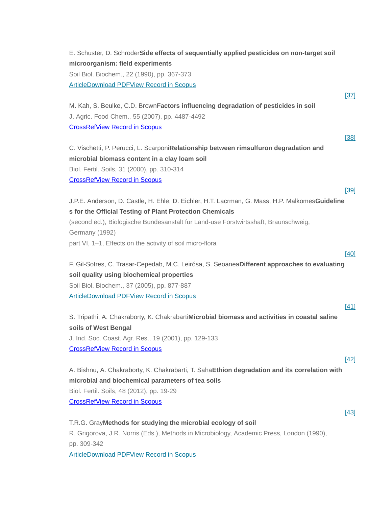E. Schuster, D. Schroder**Side effects of sequentially applied pesticides on non-target soil microorganism: field experiments** Soil Biol. Biochem., 22 (1990), pp. 367-373  [Article](https://www.sciencedirect.com/science/article/pii/003807179090115G) [Download PDF](https://www.sciencedirect.com/science/article/pii/003807179090115G/pdf?md5=dcfc195857bda06eea483885bd68b4b7&pid=1-s2.0-003807179090115G-main.pdf)[View Record in Scopus](https://www.scopus.com/inward/record.url?eid=2-s2.0-0025233147&partnerID=10&rel=R3.0.0) [\[37\]](https://www.sciencedirect.com/science/article/pii/S1164556316300097?via%3Dihub#bbib37) M. Kah, S. Beulke, C.D. Brown**Factors influencing degradation of pesticides in soil** J. Agric. Food Chem., 55 (2007), pp. 4487-4492  [CrossRef](https://doi.org/10.1021/jf0635356)[View Record in Scopus](https://www.scopus.com/inward/record.url?eid=2-s2.0-34250638747&partnerID=10&rel=R3.0.0) [\[38\]](https://www.sciencedirect.com/science/article/pii/S1164556316300097?via%3Dihub#bbib38) C. Vischetti, P. Perucci, L. Scarponi**Relationship between rimsulfuron degradation and microbial biomass content in a clay loam soil** Biol. Fertil. Soils, 31 (2000), pp. 310-314  [CrossRef](https://doi.org/10.1007/s003740050661)[View Record in Scopus](https://www.scopus.com/inward/record.url?eid=2-s2.0-0034086801&partnerID=10&rel=R3.0.0) [\[39\]](https://www.sciencedirect.com/science/article/pii/S1164556316300097?via%3Dihub#bbib39) J.P.E. Anderson, D. Castle, H. Ehle, D. Eichler, H.T. Lacrman, G. Mass, H.P. Malkomes**Guideline s for the Official Testing of Plant Protection Chemicals** (second ed.), Biologische Bundesanstalt fur Land-use Forstwirtsshaft, Braunschweig, Germany (1992) part VI, 1–1, Effects on the activity of soil micro-flora [\[40\]](https://www.sciencedirect.com/science/article/pii/S1164556316300097?via%3Dihub#bbib40) F. Gil-Sotres, C. Trasar-Cepedab, M.C. Leirósa, S. Seoanea**Different approaches to evaluating soil quality using biochemical properties** Soil Biol. Biochem., 37 (2005), pp. 877-887 **Article [Download PDF](https://www.sciencedirect.com/science/article/pii/S0038071704003785/pdfft?md5=6b25a23f5ef461d6fdef1f3836793099&pid=1-s2.0-S0038071704003785-main.pdf)[View Record in Scopus](https://www.scopus.com/inward/record.url?eid=2-s2.0-14644418465&partnerID=10&rel=R3.0.0)** [\[41\]](https://www.sciencedirect.com/science/article/pii/S1164556316300097?via%3Dihub#bbib41) S. Tripathi, A. Chakraborty, K. Chakrabarti**Microbial biomass and activities in coastal saline soils of West Bengal** J. Ind. Soc. Coast. Agr. Res., 19 (2001), pp. 129-133  [CrossRef](https://doi.org/10.1177/097133360101300201)[View Record in Scopus](https://www.scopus.com/inward/record.url?eid=2-s2.0-77950374963&partnerID=10&rel=R3.0.0) [\[42\]](https://www.sciencedirect.com/science/article/pii/S1164556316300097?via%3Dihub#bbib42) A. Bishnu, A. Chakraborty, K. Chakrabarti, T. Saha**Ethion degradation and its correlation with microbial and biochemical parameters of tea soils** Biol. Fertil. Soils, 48 (2012), pp. 19-29  [CrossRef](https://doi.org/10.1007/s00374-011-0606-9)[View Record in Scopus](https://www.scopus.com/inward/record.url?eid=2-s2.0-84855290988&partnerID=10&rel=R3.0.0) [\[43\]](https://www.sciencedirect.com/science/article/pii/S1164556316300097?via%3Dihub#bbib43) T.R.G. Gray**Methods for studying the microbial ecology of soil** R. Grigorova, J.R. Norris (Eds.), Methods in Microbiology, Academic Press, London (1990),

pp. 309-342

 [Article](https://www.sciencedirect.com/science/article/pii/S0580951708702472) [Download PDF](https://www.sciencedirect.com/science/article/pii/S0580951708702472/pdf?md5=7097dd7d21b563a634b3a03146a6a87b&pid=1-s2.0-S0580951708702472-main.pdf)[View Record in Scopus](https://www.scopus.com/inward/record.url?eid=2-s2.0-77956863714&partnerID=10&rel=R3.0.0)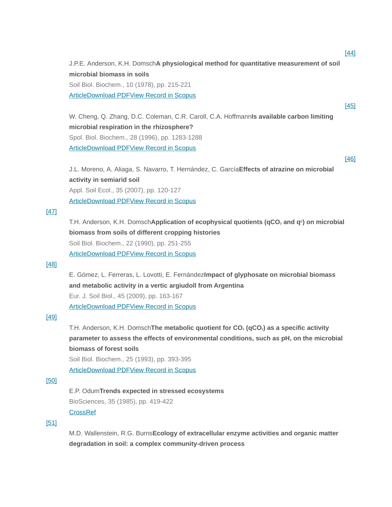J.P.E. Anderson, K.H. Domsch**A physiological method for quantitative measurement of soil microbial biomass in soils** Soil Biol. Biochem., 10 (1978), pp. 215-221 **Article [Download PDF](https://www.sciencedirect.com/science/article/pii/0038071778900998/pdf?md5=3c57a9ba985d40ee2a626cb8f712a452&pid=1-s2.0-0038071778900998-main.pdf)[View Record in Scopus](https://www.scopus.com/inward/record.url?eid=2-s2.0-34247275586&partnerID=10&rel=R3.0.0)** 

W. Cheng, Q. Zhang, D.C. Coleman, C.R. Caroll, C.A. Hoffmann**Is available carbon limiting microbial respiration in the rhizosphere?** Spol. Biol. Biochem., 28 (1996), pp. 1283-1288  [Article](https://www.sciencedirect.com/science/article/pii/S0038071796001381) [Download PDF](https://www.sciencedirect.com/science/article/pii/S0038071796001381/pdf?md5=8fdaee216a5e31fb2450cd582a10303d&pid=1-s2.0-S0038071796001381-main.pdf)[View Record in Scopus](https://www.scopus.com/inward/record.url?eid=2-s2.0-0030265340&partnerID=10&rel=R3.0.0)

J.L. Moreno, A. Aliaga, S. Navarro, T. Hernández, C. García**Effects of atrazine on microbial activity in semiarid soil** Appl. Soil Ecol., 35 (2007), pp. 120-127

 [Article](https://www.sciencedirect.com/science/article/pii/S092913930600117X) [Download PDF](https://www.sciencedirect.com/science/article/pii/S092913930600117X/pdfft?md5=33c54034c0fc02df02050c37786e43fa&pid=1-s2.0-S092913930600117X-main.pdf)[View Record in Scopus](https://www.scopus.com/inward/record.url?eid=2-s2.0-33750735061&partnerID=10&rel=R3.0.0)

#### [\[47\]](https://www.sciencedirect.com/science/article/pii/S1164556316300097?via%3Dihub#bbib47)

T.H. Anderson, K.H. Domsch**Application of ecophysical quotients (qCO<sup>2</sup> and q<sup>D</sup> ) on microbial biomass from soils of different cropping histories** Soil Biol. Biochem., 22 (1990), pp. 251-255  [Article](https://www.sciencedirect.com/science/article/pii/003807179090094G) [Download PDF](https://www.sciencedirect.com/science/article/pii/003807179090094G/pdf?md5=631585de2a33645ce0c47698cb4a1b73&pid=1-s2.0-003807179090094G-main.pdf)[View Record in Scopus](https://www.scopus.com/inward/record.url?eid=2-s2.0-0025244812&partnerID=10&rel=R3.0.0)

#### [\[48\]](https://www.sciencedirect.com/science/article/pii/S1164556316300097?via%3Dihub#bbib48)

E. Gómez, L. Ferreras, L. Lovotti, E. Fernández**Impact of glyphosate on microbial biomass and metabolic activity in a vertic argiudoll from Argentina** Eur. J. Soil Biol., 45 (2009), pp. 163-167

**Article [Download PDF](https://www.sciencedirect.com/science/article/pii/S1164556308001222/pdfft?md5=e47cafb3e5d86017bced0eb4aa74cf6c&pid=1-s2.0-S1164556308001222-main.pdf)[View Record in Scopus](https://www.scopus.com/inward/record.url?eid=2-s2.0-60349091649&partnerID=10&rel=R3.0.0)** 

#### [\[49\]](https://www.sciencedirect.com/science/article/pii/S1164556316300097?via%3Dihub#bbib49)

T.H. Anderson, K.H. Domsch**The metabolic quotient for CO<sup>2</sup> (qCO2) as a specific activity parameter to assess the effects of environmental conditions, such as pH, on the microbial biomass of forest soils**

Soil Biol. Biochem., 25 (1993), pp. 393-395

 [Article](https://www.sciencedirect.com/science/article/pii/0038071793901407) [Download PDF](https://www.sciencedirect.com/science/article/pii/0038071793901407/pdfft?md5=a68484490b472f0ec25d8f8716d8a840&pid=1-s2.0-0038071793901407-main.pdf)[View Record in Scopus](https://www.scopus.com/inward/record.url?eid=2-s2.0-20444447390&partnerID=10&rel=R3.0.0)

#### [\[50\]](https://www.sciencedirect.com/science/article/pii/S1164556316300097?via%3Dihub#bbib50)

#### E.P. Odum**Trends expected in stressed ecosystems**

BioSciences, 35 (1985), pp. 419-422

#### **[CrossRef](https://doi.org/10.2307/1310021)**

#### [\[51\]](https://www.sciencedirect.com/science/article/pii/S1164556316300097?via%3Dihub#bbib51)

M.D. Wallenstein, R.G. Burns**Ecology of extracellular enzyme activities and organic matter degradation in soil: a complex community-driven process**

# [\[46\]](https://www.sciencedirect.com/science/article/pii/S1164556316300097?via%3Dihub#bbib46)

[\[45\]](https://www.sciencedirect.com/science/article/pii/S1164556316300097?via%3Dihub#bbib45)